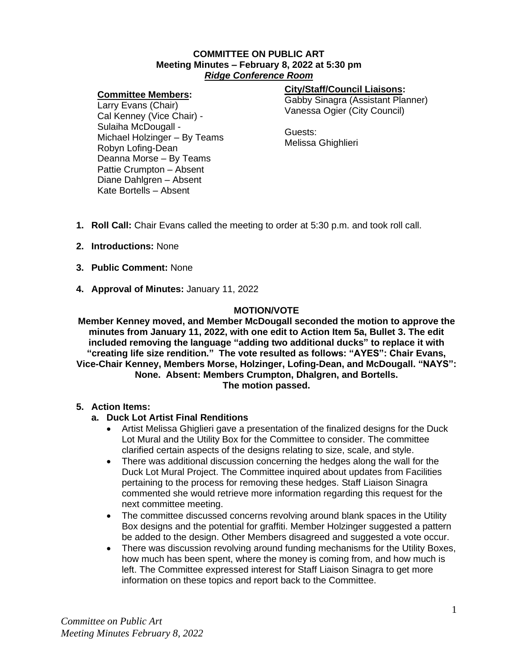#### **COMMITTEE ON PUBLIC ART Meeting Minutes – February 8, 2022 at 5:30 pm** *Ridge Conference Room*

#### **Committee Members:**

# **City/Staff/Council Liaisons:**

Gabby Sinagra (Assistant Planner) Vanessa Ogier (City Council)

Larry Evans (Chair) Cal Kenney (Vice Chair) - Sulaiha McDougall - Michael Holzinger – By Teams Robyn Lofing-Dean Deanna Morse – By Teams Pattie Crumpton – Absent Diane Dahlgren – Absent Kate Bortells – Absent

Guests: Melissa Ghighlieri

- **1. Roll Call:** Chair Evans called the meeting to order at 5:30 p.m. and took roll call.
- **2. Introductions:** None
- **3. Public Comment:** None
- **4. Approval of Minutes:** January 11, 2022

# **MOTION/VOTE**

**Member Kenney moved, and Member McDougall seconded the motion to approve the minutes from January 11, 2022, with one edit to Action Item 5a, Bullet 3. The edit included removing the language "adding two additional ducks" to replace it with "creating life size rendition." The vote resulted as follows: "AYES": Chair Evans, Vice-Chair Kenney, Members Morse, Holzinger, Lofing-Dean, and McDougall. "NAYS": None. Absent: Members Crumpton, Dhalgren, and Bortells. The motion passed.**

## **5. Action Items:**

## **a. Duck Lot Artist Final Renditions**

- Artist Melissa Ghiglieri gave a presentation of the finalized designs for the Duck Lot Mural and the Utility Box for the Committee to consider. The committee clarified certain aspects of the designs relating to size, scale, and style.
- There was additional discussion concerning the hedges along the wall for the Duck Lot Mural Project. The Committee inquired about updates from Facilities pertaining to the process for removing these hedges. Staff Liaison Sinagra commented she would retrieve more information regarding this request for the next committee meeting.
- The committee discussed concerns revolving around blank spaces in the Utility Box designs and the potential for graffiti. Member Holzinger suggested a pattern be added to the design. Other Members disagreed and suggested a vote occur.
- There was discussion revolving around funding mechanisms for the Utility Boxes, how much has been spent, where the money is coming from, and how much is left. The Committee expressed interest for Staff Liaison Sinagra to get more information on these topics and report back to the Committee.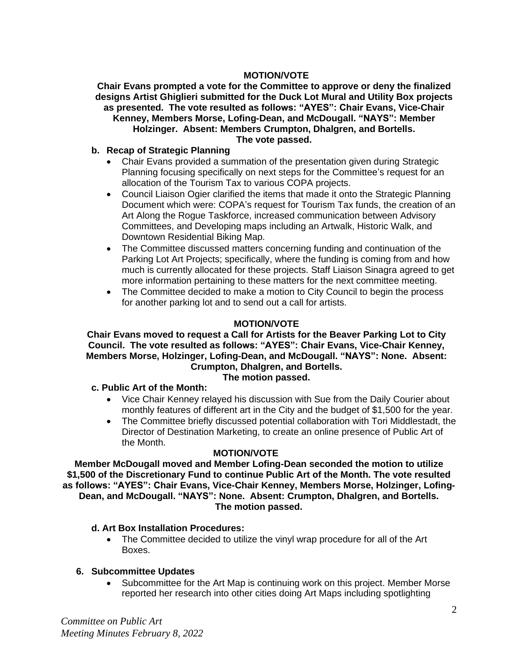## **MOTION/VOTE**

**Chair Evans prompted a vote for the Committee to approve or deny the finalized designs Artist Ghiglieri submitted for the Duck Lot Mural and Utility Box projects as presented. The vote resulted as follows: "AYES": Chair Evans, Vice-Chair Kenney, Members Morse, Lofing-Dean, and McDougall. "NAYS": Member Holzinger. Absent: Members Crumpton, Dhalgren, and Bortells. The vote passed.**

## **b. Recap of Strategic Planning**

- Chair Evans provided a summation of the presentation given during Strategic Planning focusing specifically on next steps for the Committee's request for an allocation of the Tourism Tax to various COPA projects.
- Council Liaison Ogier clarified the items that made it onto the Strategic Planning Document which were: COPA's request for Tourism Tax funds, the creation of an Art Along the Rogue Taskforce, increased communication between Advisory Committees, and Developing maps including an Artwalk, Historic Walk, and Downtown Residential Biking Map.
- The Committee discussed matters concerning funding and continuation of the Parking Lot Art Projects; specifically, where the funding is coming from and how much is currently allocated for these projects. Staff Liaison Sinagra agreed to get more information pertaining to these matters for the next committee meeting.
- The Committee decided to make a motion to City Council to begin the process for another parking lot and to send out a call for artists.

## **MOTION/VOTE**

## **Chair Evans moved to request a Call for Artists for the Beaver Parking Lot to City Council. The vote resulted as follows: "AYES": Chair Evans, Vice-Chair Kenney, Members Morse, Holzinger, Lofing-Dean, and McDougall. "NAYS": None. Absent: Crumpton, Dhalgren, and Bortells.**

#### **The motion passed.**

#### **c. Public Art of the Month:**

- Vice Chair Kenney relayed his discussion with Sue from the Daily Courier about monthly features of different art in the City and the budget of \$1,500 for the year.
- The Committee briefly discussed potential collaboration with Tori Middlestadt, the Director of Destination Marketing, to create an online presence of Public Art of the Month.

#### **MOTION/VOTE**

**Member McDougall moved and Member Lofing-Dean seconded the motion to utilize \$1,500 of the Discretionary Fund to continue Public Art of the Month. The vote resulted as follows: "AYES": Chair Evans, Vice-Chair Kenney, Members Morse, Holzinger, Lofing-Dean, and McDougall. "NAYS": None. Absent: Crumpton, Dhalgren, and Bortells. The motion passed.**

#### **d. Art Box Installation Procedures:**

• The Committee decided to utilize the vinyl wrap procedure for all of the Art Boxes.

#### **6. Subcommittee Updates**

• Subcommittee for the Art Map is continuing work on this project. Member Morse reported her research into other cities doing Art Maps including spotlighting

*Committee on Public Art Meeting Minutes February 8, 2022*